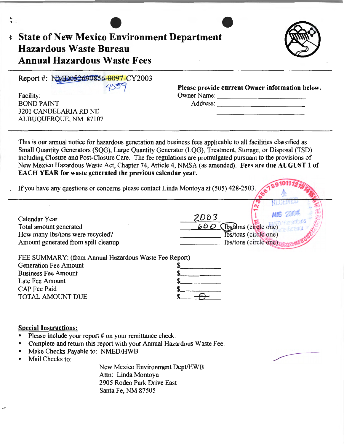| <b>BOND PAINT</b><br>3201 CANDELARIA RD NE<br>ALBUQUERQUE, NM 87107                                                                                                               | Owner Name:<br>Address:                                                                                                                                                                                                                                                                                                                                                                                                                       |
|-----------------------------------------------------------------------------------------------------------------------------------------------------------------------------------|-----------------------------------------------------------------------------------------------------------------------------------------------------------------------------------------------------------------------------------------------------------------------------------------------------------------------------------------------------------------------------------------------------------------------------------------------|
| EACH YEAR for waste generated the previous calendar year.<br>If you have any questions or concerns please contact Linda Montoya at (505) 428-2503.                                | This is our annual notice for hazardous generation and business fees applicable to all facilities classified as<br>Small Quantity Generators (SQG), Large Quantity Generator (LQG), Treatment, Storage, or Disposal (TSD)<br>including Closure and Post-Closure Care. The fee regulations are promulgated pursuant to the provisions of<br>New Mexico Hazardous Waste Act, Chapter 74, Article 4, NMSA (as amended). Fees are due AUGUST 1 of |
| Calendar Year<br>Total amount generated<br>How many lbs/tons were recycled?<br>Amount generated from spill cleanup                                                                | 2003<br>$600$ (lbs/dons (circle one)<br>Ibs/tons (circle one)<br>lbs/tons (circle one)                                                                                                                                                                                                                                                                                                                                                        |
| FEE SUMMARY: (from Annual Hazardous Waste Fee Report)<br><b>Generation Fee Amount</b><br><b>Business Fee Amount</b><br>Late Fee Amount<br><b>CAP</b> Fee Paid<br>TOTAL AMOUNT DUE | \$                                                                                                                                                                                                                                                                                                                                                                                                                                            |

Santa Fe, NM 87505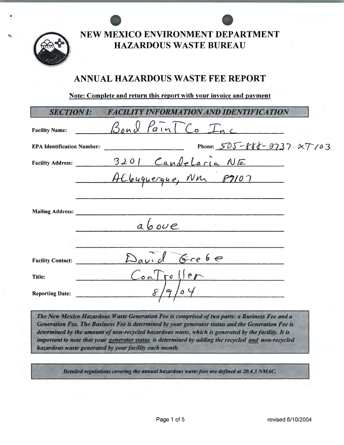

NEW MEXICO ENVIRONMENT DEPARTMENT **HAZARDOUS WASTE BUREAU** 

# ANNUAL HAZARDOUS WASTE FEE REPORT

Note: Complete and return this report with your invoice and payment

| <b>SECTION I:</b>                 | Y INFORMATION AND IDENTIFICATION |  |
|-----------------------------------|----------------------------------|--|
| <b>Facility Name:</b>             | Bond Pain TCo Inc                |  |
| <b>EPA Identification Number:</b> | Phone: 505-888-9737.27/03        |  |
| <b>Facility Address:</b>          |                                  |  |
|                                   | 3201 Candelaria NE               |  |
|                                   |                                  |  |
| <b>Mailing Address:</b>           |                                  |  |
|                                   | above                            |  |
|                                   |                                  |  |
| <b>Facility Contact:</b>          | $6ce$ $6e$                       |  |
| Title:                            | CoalroIIer                       |  |
| <b>Reporting Date:</b>            | $\mathcal{Q}_1$                  |  |

The New Mexico Hazardous Waste Generation Fee is comprised of two parts: a Business Fee and a Generation Fee. The Business Fee is determined by your generator status and the Generation Fee is determined by the amount of non-recycled hazardous waste, which is generated by the facility. It is important to note that your generator status is determined by adding the recycled and non-recycled hazardous waste generated by your facility each month.

Detailed regulations covering the annual hazardous waste fees are defined at 20.4.3 NMAC.

Page 1 of 5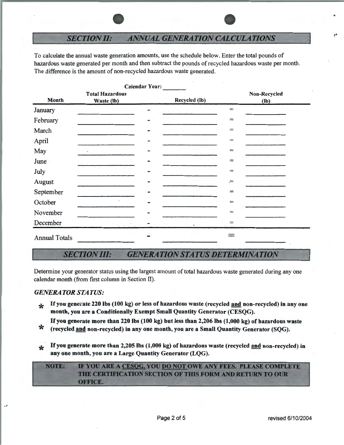## **SECTION II: ANNUAL GENERATION CALCULATIONS**

To calculate the annual waste generation amounts, use the schedule below. Enter the total pounds of hazardous waste generated per month and then subtract the pounds of recycled hazardous waste per month. The difference is the amount of non-recycled hazardous waste generated.

|                      |                                      | <b>Calendar Year:</b> |               |                   |                        |
|----------------------|--------------------------------------|-----------------------|---------------|-------------------|------------------------|
| Month                | <b>Total Hazardous</b><br>Waste (lb) |                       | Recycled (lb) |                   | Non-Recycled<br>$(lb)$ |
| January              |                                      |                       |               | $\!=\!$           |                        |
| February             |                                      |                       |               | $\equiv$          |                        |
| March                |                                      |                       |               | $=$               |                        |
| April                |                                      |                       |               | $\equiv$          |                        |
| May                  | $\tau$                               |                       |               | $=$               |                        |
| June                 |                                      |                       |               | $\equiv$          |                        |
| July                 |                                      |                       |               | $\!\!\!=\!\!\!\!$ |                        |
| August               |                                      |                       |               | $=$               |                        |
| September            |                                      |                       |               | $\equiv$          |                        |
| October              | $\bullet$                            |                       |               | $=$               |                        |
| November             |                                      |                       |               | $=$               |                        |
| December             |                                      |                       |               | $=$               |                        |
| <b>Annual Totals</b> |                                      |                       |               |                   |                        |

### **SECTION III:** *GENERATION STATUS DETERMINATION*

Determine your generator status using the largest amount of total hazardous waste generated during any one calendar month (from first column in Section II).

## *GENERATOR STATUS:*

• '

\* If you generate 220 lbs (100 kg) or less of hazardous waste (recycled and non-recycled) in any one month, you are a Conditionally Exempt Small Quantity Generator (CESQG).

If you generate more than 220 lbs (100 kg) but less than 2,206 lbs (1,000 kg) of hazardous waste<br>\* (recycled <u>and</u> non-recycled) in any one month, you are a Small Quantity Generator (SQG).

- 
- If you generate more than 2,205 lbs (1,000 kg) of hazardous waste (recycled and non-recycled) in any one month, you are a Large Quantity Generator (LQG).

IF YOU ARE A CESOG, YOU DO NOT OWE ANY FEES. PLEASE COMPLETE NOTE: THE CERTIFICATION SECTION OF THIS FORM AND RETURN TO OUR OFFICE.

,.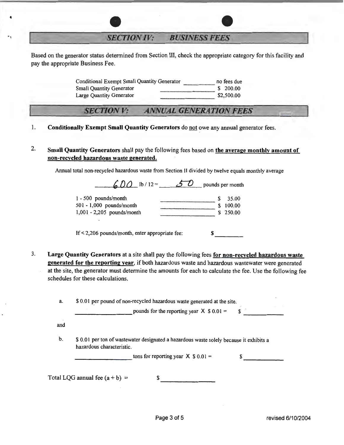**SECTION IV: BUSINESS FEES** 

Based on the generator status determined from Section III, check the appropriate category for this facility and pay the appropriate Business Fee.

> Conditional Exempt Small Quantity Generator  $\frac{1}{\text{Small Quantity}}$  no fees due Small Quantity Generator  $\frac{1}{\text{S 200.00}}$ Small Quantity Generator Large Quantity Generator  $$2,500.00$

**SECTION V: ANNUAL GENERATION FEES** 

1. Conditionally Exempt Small Quantity Generators do not owe any annual generator fees.

2. Small Quantity Generators shall pay the following fees based on the average monthly amount of non-recycled hazardous waste generated.

Annual total non-recycled hazardous waste from Section II divided by twelve equals monthly average

 $600$  lb / 12 =  $50$  pounds per month 1 - 500 pounds/month 501 - 1,000 pounds/month 1,001 - 2,205 pounds/month  $$ 35.00$ <br> $$ 100.00$  $\begin{array}{c} \text{3} \text{3} \text{5.00} \\ \text{5} \text{100.00} \\ \text{6} \text{250.00} \end{array}$ 

If  $\leq$  2,206 pounds/month, enter appropriate fee:  $\qquad \qquad$  \$ ----

3. Large Quantity Generators at a site shall pay the following fees for non-recycled hazardous waste generated for the reporting year, if both hazardous waste and hazardous wastewater were generated at the site, the generator must determine the amounts for each to calculate the fee. Use the following fee schedules for these calculations.

|     | pounds for the reporting year $X$ \$ 0.01 =                                                                          |  |
|-----|----------------------------------------------------------------------------------------------------------------------|--|
| and |                                                                                                                      |  |
| b.  | \$ 0.01 per ton of wastewater designated a hazardous waste solely because it exhibits a<br>hazardous characteristic. |  |
|     | tons for reporting year $X$ \$ 0.01 =                                                                                |  |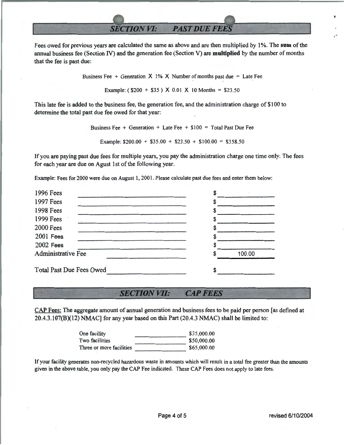## **SECTION VI: PAST DUE FEES**

Fees owed for previous years are calculated the same as above and are then multiplied by 1 %. The **sum** of the annual business fee (Section N) and the generation fee (Section V) are **multiplied** by the number of months that the fee is past due:

Business Fee + Generation  $X$  1%  $X$  Number of months past due = Late Fee

Example: ( $$200 + $35$ ) X 0.01 X 10 Months = \$23.50

This late fee is added to the business fee, the generation fee, and the administration charge of \$100 to determine the total past due fee owed for that year:

> Business Fee + Generation + Late Fee +  $$100 = Total$  Past Due Fee Example:  $$200.00 + $35.00 + $23.50 + $100.00 = $358.50$

If you are paying past due fees for multiple years, you pay the administration charge one time only. The fees for each year are due on Agust 1st of the following year.

Example: Fees for 2000 were due on August 1, 2001. Please calculate past due fees and enter them below:

| 1996 Fees                       |        |  |
|---------------------------------|--------|--|
| <b>1997 Fees</b>                |        |  |
| <b>1998 Fees</b>                |        |  |
| 1999 Fees                       |        |  |
| <b>2000 Fees</b>                |        |  |
| <b>2001 Fees</b>                |        |  |
| <b>2002 Fees</b>                |        |  |
| <b>Administrative Fee</b>       | 100.00 |  |
| <b>Total Past Due Fees Owed</b> |        |  |

#### **SECTION VII: CAP FEES**

CAP Fees: The aggregate amount of annual generation and business fees to be paid per person [as defined at 20.4.3.107(B)(12) NMAC] for any year based on this Part (20.4.3 NMAC) shall be limited to:

| One facility             | \$35,000.00 |
|--------------------------|-------------|
| Two facilities           | \$50,000.00 |
| Three or more facilities | \$65,000.00 |

If your facility generates non-recycled hazardous waste in amounts which will result in a total fee greater than the amounts given in the above table, you only pay the CAP Fee indicated. These CAP Fees does not apply to late fees.